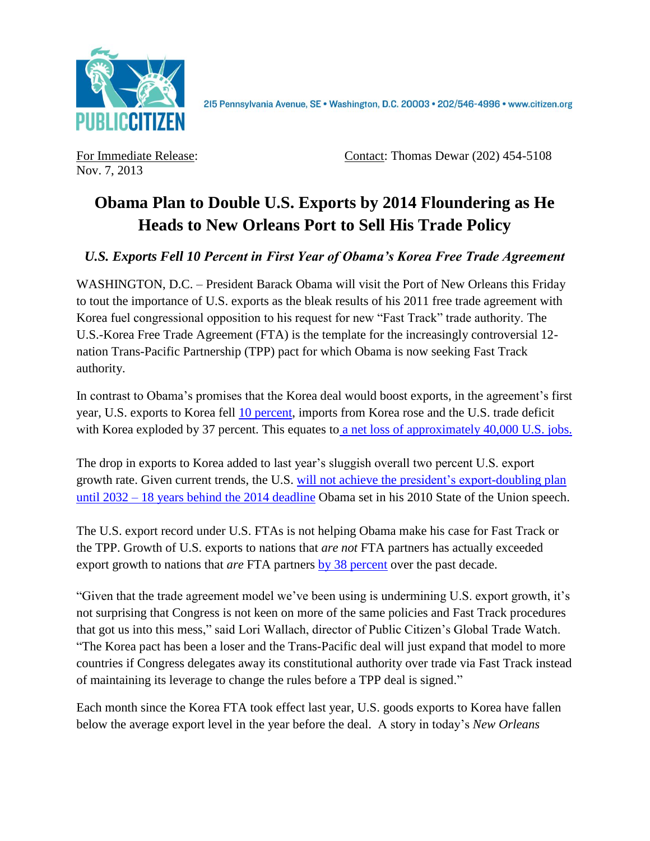

2I5 Pennsylvania Avenue, SE · Washington, D.C. 20003 · 202/546-4996 · www.citizen.org

Nov. 7, 2013

For Immediate Release: Contact: Thomas Dewar (202) 454-5108

## **Obama Plan to Double U.S. Exports by 2014 Floundering as He Heads to New Orleans Port to Sell His Trade Policy**

## *U.S. Exports Fell 10 Percent in First Year of Obama's Korea Free Trade Agreement*

WASHINGTON, D.C. – President Barack Obama will visit the Port of New Orleans this Friday to tout the importance of U.S. exports as the bleak results of his 2011 free trade agreement with Korea fuel congressional opposition to his request for new "Fast Track" trade authority. The U.S.-Korea Free Trade Agreement (FTA) is the template for the increasingly controversial 12 nation Trans-Pacific Partnership (TPP) pact for which Obama is now seeking Fast Track authority.

In contrast to Obama's promises that the Korea deal would boost exports, in the agreement's first year, U.S. exports to Korea fell [10 percent,](http://citizen.typepad.com/eyesontrade/2013/05/as-korean-president-addresses-congress-today-first-year-of-korea-free-trade-agreement-data-shows-us-.html) imports from Korea rose and the U.S. trade deficit with Korea exploded by 37 percent. This equates to [a net loss of approximately 40,000 U.S. jobs.](http://www.epi.org/publication/trade-pacts-korus-trans-pacific-partnership/)

The drop in exports to Korea added to last year's sluggish overall two percent U.S. export growth rate. Given current trends, the U.S. [will not achieve the president's export-doubling plan](http://citizen.typepad.com/eyesontrade/2013/02/obamas-export-promise-falls-18-years-behind-schedule-as-exports-decline-under-ftas.html)  [until 2032](http://citizen.typepad.com/eyesontrade/2013/02/obamas-export-promise-falls-18-years-behind-schedule-as-exports-decline-under-ftas.html) – [18 years behind the 2014](http://citizen.typepad.com/eyesontrade/2013/02/obamas-export-promise-falls-18-years-behind-schedule-as-exports-decline-under-ftas.html) deadline Obama set in his 2010 State of the Union speech.

The U.S. export record under U.S. FTAs is not helping Obama make his case for Fast Track or the TPP. Growth of U.S. exports to nations that *are not* FTA partners has actually exceeded export growth to nations that *are* FTA partners [by 38 percent](http://www.citizen.org/documents/FTA-V-No-FTA-Factsheet.pdf) over the past decade.

"Given that the trade agreement model we've been using is undermining U.S. export growth, it's not surprising that Congress is not keen on more of the same policies and Fast Track procedures that got us into this mess," said Lori Wallach, director of Public Citizen's Global Trade Watch. "The Korea pact has been a loser and the Trans-Pacific deal will just expand that model to more countries if Congress delegates away its constitutional authority over trade via Fast Track instead of maintaining its leverage to change the rules before a TPP deal is signed."

Each month since the Korea FTA took effect last year, U.S. goods exports to Korea have fallen below the average export level in the year before the deal. A story in today's *New Orleans*